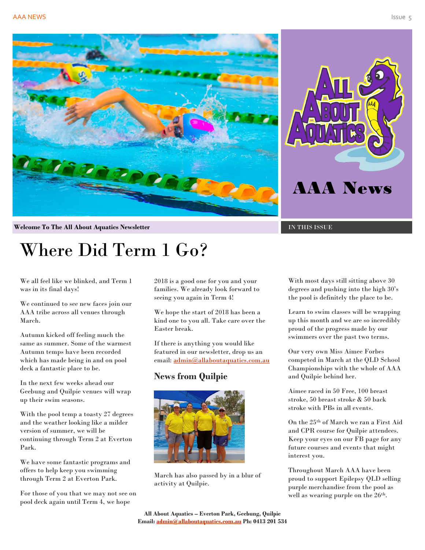

**Welcome To The All About Aquatics Newsletter IN THIS ISSUE** 

# Where Did Term 1 Go?

We all feel like we blinked, and Term 1 was in its final days!

We continued to see new faces join our AAA tribe across all venues through March.

Autumn kicked off feeling much the same as summer. Some of the warmest Autumn temps have been recorded which has made being in and on pool deck a fantastic place to be.

In the next few weeks ahead our Geebung and Quilpie venues will wrap up their swim seasons.

With the pool temp a toasty 27 degrees and the weather looking like a milder version of summer, we will be continuing through Term 2 at Everton Park.

We have some fantastic programs and offers to help keep you swimming through Term 2 at Everton Park.

For those of you that we may not see on pool deck again until Term 4, we hope

2018 is a good one for you and your families. We already look forward to seeing you again in Term 4!

We hope the start of 2018 has been a kind one to you all. Take care over the Easter break.

If there is anything you would like featured in our newsletter, drop us an email: [admin@allaboutaquatics.com.au](mailto:admin@allaboutaquatics.com.au)

### **News from Quilpie**



March has also passed by in a blur of activity at Quilpie.

With most days still sitting above 30 degrees and pushing into the high 30's the pool is definitely the place to be.

Learn to swim classes will be wrapping up this month and we are so incredibly proud of the progress made by our swimmers over the past two terms.

Our very own Miss Aimee Forbes competed in March at the QLD School Championships with the whole of AAA and Quilpie behind her.

Aimee raced in 50 Free, 100 breast stroke, 50 breast stroke & 50 back stroke with PBs in all events.

On the 25th of March we ran a First Aid and CPR course for Quilpie attendees. Keep your eyes on our FB page for any future courses and events that might interest you.

Throughout March AAA have been proud to support Epilepsy QLD selling purple merchandise from the pool as well as wearing purple on the  $26<sup>th</sup>$ .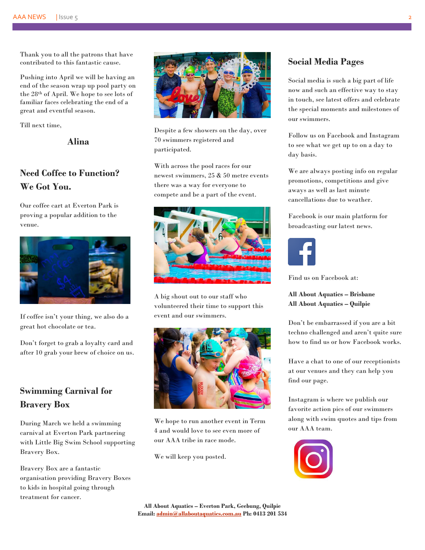Thank you to all the patrons that have contributed to this fantastic cause.

Pushing into April we will be having an end of the season wrap up pool party on the 28th of April. We hope to see lots of familiar faces celebrating the end of a great and eventful season.

Till next time,

**Alina**

# **Need Coffee to Function? We Got You.**

Our coffee cart at Everton Park is proving a popular addition to the venue.



If coffee isn't your thing, we also do a great hot chocolate or tea.

Don't forget to grab a loyalty card and after 10 grab your brew of choice on us.

## **Swimming Carnival for Bravery Box**

During March we held a swimming carnival at Everton Park partnering with Little Big Swim School supporting Bravery Box.

Bravery Box are a fantastic organisation providing Bravery Boxes to kids in hospital going through treatment for cancer.



Despite a few showers on the day, over 70 swimmers registered and participated.

With across the pool races for our newest swimmers, 25 & 50 metre events there was a way for everyone to compete and be a part of the event.



A big shout out to our staff who volunteered their time to support this event and our swimmers.



We hope to run another event in Term 4 and would love to see even more of our AAA tribe in race mode.

We will keep you posted.

## **Social Media Pages**

Social media is such a big part of life now and such an effective way to stay in touch, see latest offers and celebrate the special moments and milestones of our swimmers.

Follow us on Facebook and Instagram to see what we get up to on a day to day basis.

We are always posting info on regular promotions, competitions and give aways as well as last minute cancellations due to weather.

Facebook is our main platform for broadcasting our latest news.



Find us on Facebook at:

#### **All About Aquatics – Brisbane All About Aquatics – Quilpie**

Don't be embarrassed if you are a bit techno challenged and aren't quite sure how to find us or how Facebook works.

Have a chat to one of our receptionists at our venues and they can help you find our page.

Instagram is where we publish our favorite action pics of our swimmers along with swim quotes and tips from our AAA team.

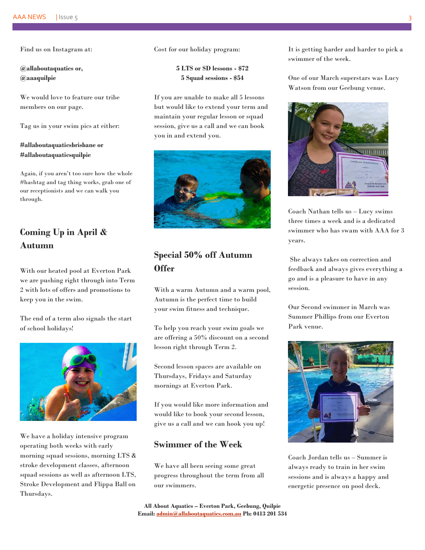Find us on Instagram at:

**@allaboutaquatics or, @aaaquilpie**

We would love to feature our tribe members on our page.

Tag us in your swim pics at either:

#### **#allaboutaquaticsbrisbane or #allaboutaquaticsquilpie**

Again, if you aren't too sure how the whole #hashtag and tag thing works, grab one of our receptionists and we can walk you through.

# **Coming Up in April & Autumn**

With our heated pool at Everton Park we are pushing right through into Term 2 with lots of offers and promotions to keep you in the swim.

The end of a term also signals the start of school holidays!



We have a holiday intensive program operating both weeks with early morning squad sessions, morning LTS & stroke development classes, afternoon squad sessions as well as afternoon LTS, Stroke Development and Flippa Ball on Thursdays.

Cost for our holiday program:

**5 LTS or SD lessons - \$72 5 Squad sessions - \$54**

If you are unable to make all 5 lessons but would like to extend your term and maintain your regular lesson or squad session, give us a call and we can book you in and extend you.



# **Special 50% off Autumn Offer**

With a warm Autumn and a warm pool, Autumn is the perfect time to build your swim fitness and technique.

To help you reach your swim goals we are offering a 50% discount on a second lesson right through Term 2.

Second lesson spaces are available on Thursdays, Fridays and Saturday mornings at Everton Park.

If you would like more information and would like to book your second lesson, give us a call and we can hook you up!

#### **Swimmer of the Week**

We have all been seeing some great progress throughout the term from all our swimmers.

It is getting harder and harder to pick a swimmer of the week.

One of our March superstars was Lucy Watson from our Geebung venue.



Coach Nathan tells us – Lucy swims three times a week and is a dedicated swimmer who has swam with AAA for 3 years.

She always takes on correction and feedback and always gives everything a go and is a pleasure to have in any session.

Our Second swimmer in March was Summer Phillips from our Everton Park venue.



Coach Jordan tells us – Summer is always ready to train in her swim sessions and is always a happy and energetic presence on pool deck.